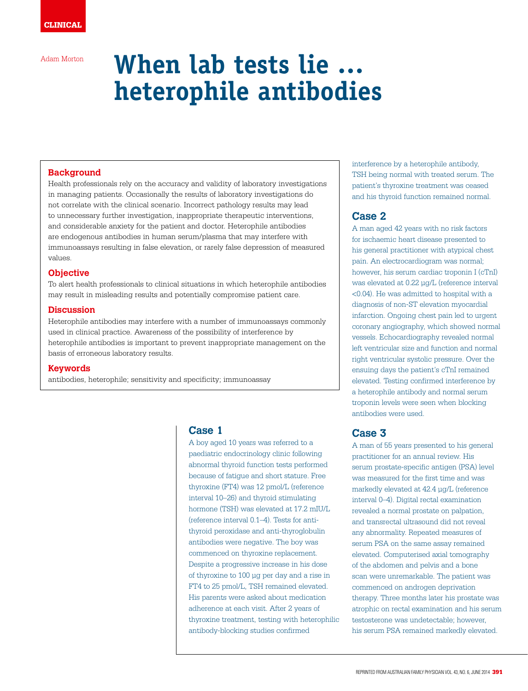Adam Morton

# **When lab tests lie … heterophile antibodies**

#### **Background**

Health professionals rely on the accuracy and validity of laboratory investigations in managing patients. Occasionally the results of laboratory investigations do not correlate with the clinical scenario. Incorrect pathology results may lead to unnecessary further investigation, inappropriate therapeutic interventions, and considerable anxiety for the patient and doctor. Heterophile antibodies are endogenous antibodies in human serum/plasma that may interfere with immunoassays resulting in false elevation, or rarely false depression of measured values.

#### **Objective**

To alert health professionals to clinical situations in which heterophile antibodies may result in misleading results and potentially compromise patient care.

#### **Discussion**

Heterophile antibodies may interfere with a number of immunoassays commonly used in clinical practice. Awareness of the possibility of interference by heterophile antibodies is important to prevent inappropriate management on the basis of erroneous laboratory results.

#### **Keywords**

antibodies, heterophile; sensitivity and specificity; immunoassay

### **Case 1**

A boy aged 10 years was referred to a paediatric endocrinology clinic following abnormal thyroid function tests performed because of fatigue and short stature. Free thyroxine (FT4) was 12 pmol/L (reference interval 10–26) and thyroid stimulating hormone (TSH) was elevated at 17.2 mIU/L (reference interval 0.1–4). Tests for antithyroid peroxidase and anti-thyroglobulin antibodies were negative. The boy was commenced on thyroxine replacement. Despite a progressive increase in his dose of thyroxine to 100 µg per day and a rise in FT4 to 25 pmol/L, TSH remained elevated. His parents were asked about medication adherence at each visit. After 2 years of thyroxine treatment, testing with heterophilic antibody-blocking studies confirmed

interference by a heterophile antibody, TSH being normal with treated serum. The patient's thyroxine treatment was ceased and his thyroid function remained normal.

## **Case 2**

A man aged 42 years with no risk factors for ischaemic heart disease presented to his general practitioner with atypical chest pain. An electrocardiogram was normal; however, his serum cardiac troponin I (cTnI) was elevated at 0.22 µg/L (reference interval <0.04). He was admitted to hospital with a diagnosis of non-ST elevation myocardial infarction. Ongoing chest pain led to urgent coronary angiography, which showed normal vessels. Echocardiography revealed normal left ventricular size and function and normal right ventricular systolic pressure. Over the ensuing days the patient's cTnI remained elevated. Testing confirmed interference by a heterophile antibody and normal serum troponin levels were seen when blocking antibodies were used.

## **Case 3**

A man of 55 years presented to his general practitioner for an annual review. His serum prostate-specific antigen (PSA) level was measured for the first time and was markedly elevated at 42.4 µg/L (reference interval 0–4). Digital rectal examination revealed a normal prostate on palpation, and transrectal ultrasound did not reveal any abnormality. Repeated measures of serum PSA on the same assay remained elevated. Computerised axial tomography of the abdomen and pelvis and a bone scan were unremarkable. The patient was commenced on androgen deprivation therapy. Three months later his prostate was atrophic on rectal examination and his serum testosterone was undetectable; however, his serum PSA remained markedly elevated.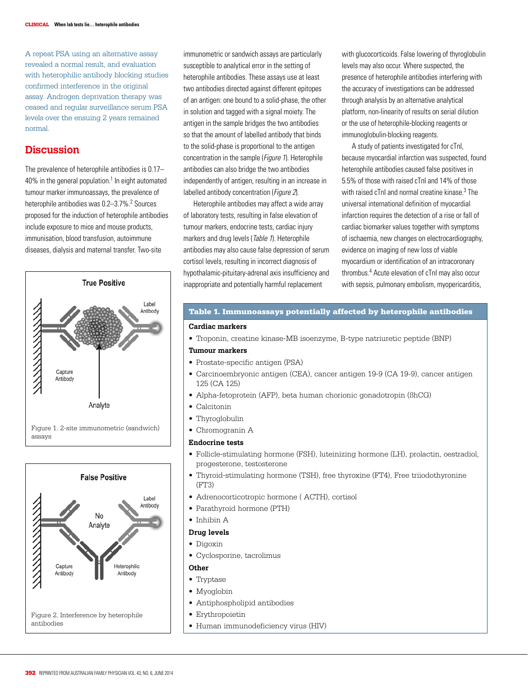A repeat PSA using an alternative assay revealed a normal result, and evaluation with heterophilic antibody blocking studies confirmed interference in the original assay. Androgen deprivation therapy was ceased and regular surveillance serum PSA levels over the ensuing 2 years remained normal.

## **Discussion**

The prevalence of heterophile antibodies is 0.17– 40% in the general population.<sup>1</sup> In eight automated tumour marker immunoassays, the prevalence of heterophile antibodies was 0.2–3.7%.<sup>2</sup> Sources proposed for the induction of heterophile antibodies include exposure to mice and mouse products, immunisation, blood transfusion, autoimmune diseases, dialysis and maternal transfer. Two-site





immunometric or sandwich assays are particularly susceptible to analytical error in the setting of heterophile antibodies. These assays use at least two antibodies directed against different epitopes of an antigen: one bound to a solid-phase, the other in solution and tagged with a signal moiety. The antigen in the sample bridges the two antibodies so that the amount of labelled antibody that binds to the solid-phase is proportional to the antigen concentration in the sample (*Figure 1*). Heterophile antibodies can also bridge the two antibodies independently of antigen, resulting in an increase in labelled antibody concentration (*Figure 2*).

Heterophile antibodies may affect a wide array of laboratory tests, resulting in false elevation of tumour markers, endocrine tests, cardiac injury markers and drug levels (Table 1). Heterophile antibodies may also cause false depression of serum cortisol levels, resulting in incorrect diagnosis of hypothalamic-pituitary-adrenal axis insufficiency and inappropriate and potentially harmful replacement

with glucocorticoids. False lowering of thyroglobulin levels may also occur. Where suspected, the presence of heterophile antibodies interfering with the accuracy of investigations can be addressed through analysis by an alternative analytical platform, non-linearity of results on serial dilution or the use of heterophile-blocking reagents or immunoglobulin-blocking reagents.

A study of patients investigated for cTnI, because myocardial infarction was suspected, found heterophile antibodies caused false positives in 5.5% of those with raised cTnI and 14% of those with raised cTnI and normal creatine kinase.<sup>3</sup> The universal international definition of myocardial infarction requires the detection of a rise or fall of cardiac biomarker values together with symptoms of ischaemia, new changes on electrocardiography, evidence on imaging of new loss of viable myocardium or identification of an intracoronary thrombus.4 Acute elevation of cTnI may also occur with sepsis, pulmonary embolism, myopericarditis,

#### Table 1. Immunoassays potentially affected by heterophile antibodies

#### **Cardiac markers**

• Troponin, creatine kinase-MB isoenzyme, B-type natriuretic peptide (BNP)

#### **Tumour markers**

- Prostate-specific antigen (PSA)
- Carcinoembryonic antigen (CEA), cancer antigen 19-9 (CA 19-9), cancer antigen 125 (CA 125)
- Alpha-fetoprotein (AFP), beta human chorionic gonadotropin (ßhCG)
- Calcitonin
- Thyroglobulin
- Chromogranin A

#### **Endocrine tests**

- Follicle-stimulating hormone (FSH), luteinizing hormone (LH), prolactin, oestradiol, progesterone, testosterone
- Thyroid-stimulating hormone (TSH), free thyroxine (FT4), Free triiodothyronine (FT3)
- Adrenocorticotropic hormone ( ACTH), cortisol
- Parathyroid hormone (PTH)
- Inhibin A

#### **Drug levels**

#### • Digoxin

• Cyclosporine, tacrolimus

#### **Other**

- Tryptase
- Myoglobin
- Antiphospholipid antibodies
- Erythropoietin
- Human immunodeficiency virus (HIV)